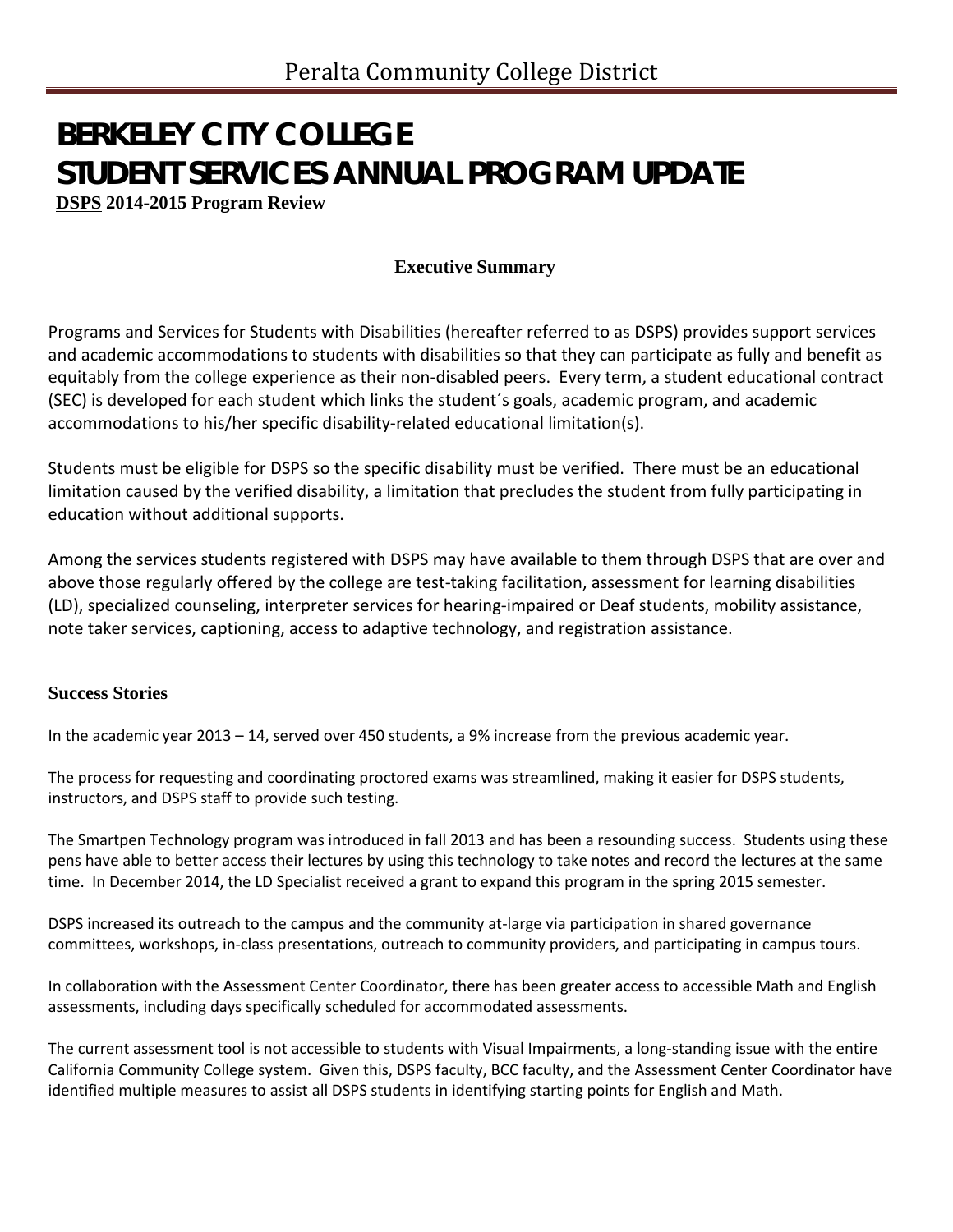# **BERKELEY CITY COLLEGE STUDENT SERVICES ANNUAL PROGRAM UPDATE**

**DSPS 2014-2015 Program Review**

## **Executive Summary**

Programs and Services for Students with Disabilities (hereafter referred to as DSPS) provides support services and academic accommodations to students with disabilities so that they can participate as fully and benefit as equitably from the college experience as their non-disabled peers. Every term, a student educational contract (SEC) is developed for each student which links the student´s goals, academic program, and academic accommodations to his/her specific disability-related educational limitation(s).

Students must be eligible for DSPS so the specific disability must be verified. There must be an educational limitation caused by the verified disability, a limitation that precludes the student from fully participating in education without additional supports.

Among the services students registered with DSPS may have available to them through DSPS that are over and above those regularly offered by the college are test-taking facilitation, assessment for learning disabilities (LD), specialized counseling, interpreter services for hearing-impaired or Deaf students, mobility assistance, note taker services, captioning, access to adaptive technology, and registration assistance.

#### **Success Stories**

In the academic year 2013 – 14, served over 450 students, a 9% increase from the previous academic year.

The process for requesting and coordinating proctored exams was streamlined, making it easier for DSPS students, instructors, and DSPS staff to provide such testing.

The Smartpen Technology program was introduced in fall 2013 and has been a resounding success. Students using these pens have able to better access their lectures by using this technology to take notes and record the lectures at the same time. In December 2014, the LD Specialist received a grant to expand this program in the spring 2015 semester.

DSPS increased its outreach to the campus and the community at-large via participation in shared governance committees, workshops, in-class presentations, outreach to community providers, and participating in campus tours.

In collaboration with the Assessment Center Coordinator, there has been greater access to accessible Math and English assessments, including days specifically scheduled for accommodated assessments.

The current assessment tool is not accessible to students with Visual Impairments, a long-standing issue with the entire California Community College system. Given this, DSPS faculty, BCC faculty, and the Assessment Center Coordinator have identified multiple measures to assist all DSPS students in identifying starting points for English and Math.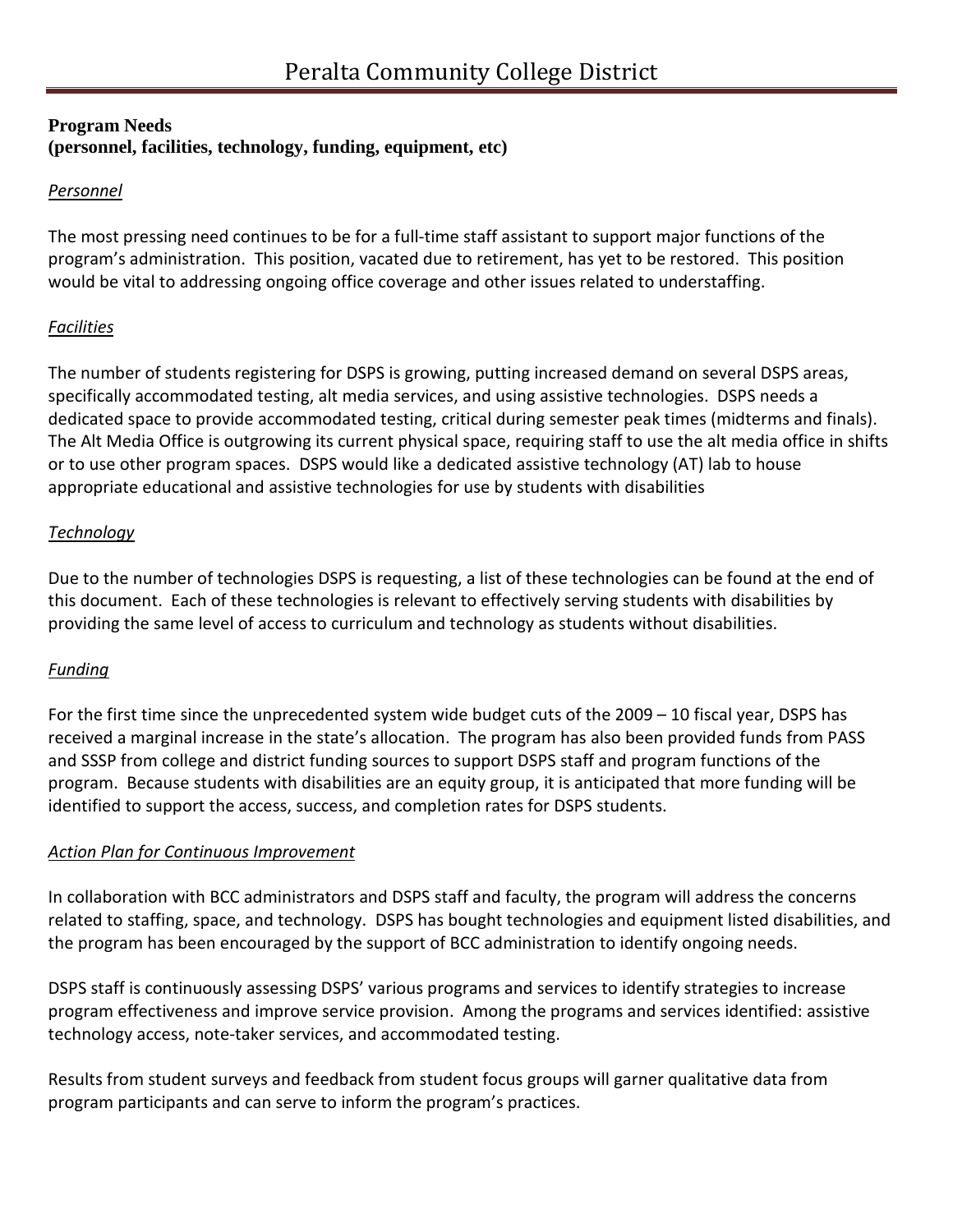## **Program Needs (personnel, facilities, technology, funding, equipment, etc)**

## *Personnel*

The most pressing need continues to be for a full-time staff assistant to support major functions of the program's administration. This position, vacated due to retirement, has yet to be restored. This position would be vital to addressing ongoing office coverage and other issues related to understaffing.

## *Facilities*

The number of students registering for DSPS is growing, putting increased demand on several DSPS areas, specifically accommodated testing, alt media services, and using assistive technologies. DSPS needs a dedicated space to provide accommodated testing, critical during semester peak times (midterms and finals). The Alt Media Office is outgrowing its current physical space, requiring staff to use the alt media office in shifts or to use other program spaces. DSPS would like a dedicated assistive technology (AT) lab to house appropriate educational and assistive technologies for use by students with disabilities

## *Technology*

Due to the number of technologies DSPS is requesting, a list of these technologies can be found at the end of this document. Each of these technologies is relevant to effectively serving students with disabilities by providing the same level of access to curriculum and technology as students without disabilities.

## *Funding*

For the first time since the unprecedented system wide budget cuts of the 2009 – 10 fiscal year, DSPS has received a marginal increase in the state's allocation. The program has also been provided funds from PASS and SSSP from college and district funding sources to support DSPS staff and program functions of the program. Because students with disabilities are an equity group, it is anticipated that more funding will be identified to support the access, success, and completion rates for DSPS students.

## *Action Plan for Continuous Improvement*

In collaboration with BCC administrators and DSPS staff and faculty, the program will address the concerns related to staffing, space, and technology. DSPS has bought technologies and equipment listed disabilities, and the program has been encouraged by the support of BCC administration to identify ongoing needs.

DSPS staff is continuously assessing DSPS' various programs and services to identify strategies to increase program effectiveness and improve service provision. Among the programs and services identified: assistive technology access, note-taker services, and accommodated testing.

Results from student surveys and feedback from student focus groups will garner qualitative data from program participants and can serve to inform the program's practices.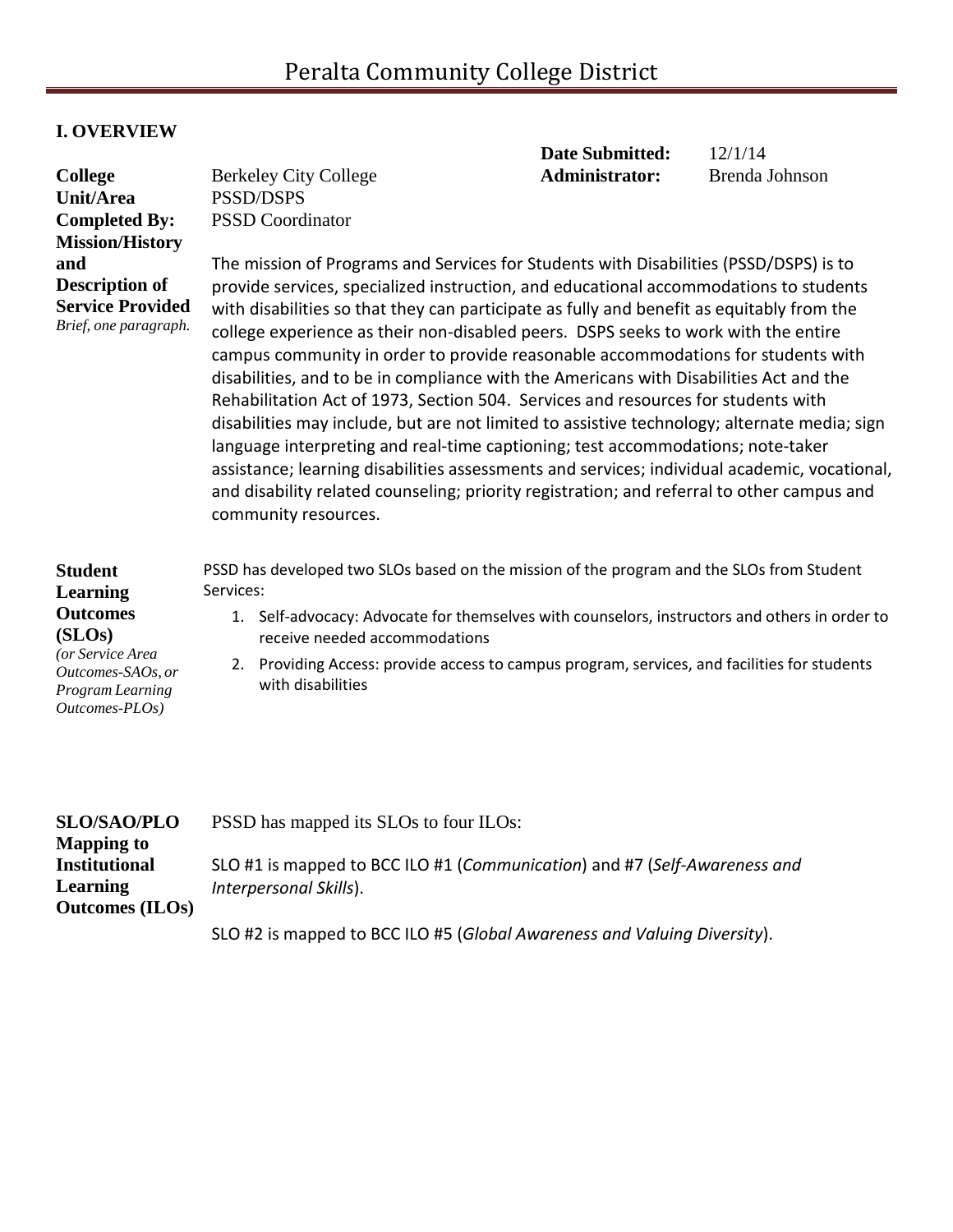# **I. OVERVIEW**

| <b>College</b><br>Unit/Area<br><b>Completed By:</b><br><b>Mission/History</b><br>and<br><b>Description of</b><br><b>Service Provided</b><br>Brief, one paragraph. | <b>Date Submitted:</b><br>12/1/14<br><b>Administrator:</b><br><b>Berkeley City College</b><br>Brenda Johnson<br><b>PSSD/DSPS</b><br><b>PSSD Coordinator</b><br>The mission of Programs and Services for Students with Disabilities (PSSD/DSPS) is to<br>provide services, specialized instruction, and educational accommodations to students<br>with disabilities so that they can participate as fully and benefit as equitably from the<br>college experience as their non-disabled peers. DSPS seeks to work with the entire<br>campus community in order to provide reasonable accommodations for students with<br>disabilities, and to be in compliance with the Americans with Disabilities Act and the<br>Rehabilitation Act of 1973, Section 504. Services and resources for students with<br>disabilities may include, but are not limited to assistive technology; alternate media; sign<br>language interpreting and real-time captioning; test accommodations; note-taker<br>assistance; learning disabilities assessments and services; individual academic, vocational, |  |  |  |  |
|-------------------------------------------------------------------------------------------------------------------------------------------------------------------|----------------------------------------------------------------------------------------------------------------------------------------------------------------------------------------------------------------------------------------------------------------------------------------------------------------------------------------------------------------------------------------------------------------------------------------------------------------------------------------------------------------------------------------------------------------------------------------------------------------------------------------------------------------------------------------------------------------------------------------------------------------------------------------------------------------------------------------------------------------------------------------------------------------------------------------------------------------------------------------------------------------------------------------------------------------------------------------|--|--|--|--|
| <b>Student</b><br><b>Learning</b><br><b>Outcomes</b><br>(SLOS)<br>(or Service Area<br>Outcomes-SAOs, or<br>Program Learning<br>Outcomes-PLOs)                     | and disability related counseling; priority registration; and referral to other campus and<br>community resources.<br>PSSD has developed two SLOs based on the mission of the program and the SLOs from Student<br>Services:<br>Self-advocacy: Advocate for themselves with counselors, instructors and others in order to<br>1.<br>receive needed accommodations<br>Providing Access: provide access to campus program, services, and facilities for students<br>2.<br>with disabilities                                                                                                                                                                                                                                                                                                                                                                                                                                                                                                                                                                                              |  |  |  |  |

| <b>SLO/SAO/PLO</b>     | <b>PSSD</b> has mapped its SLOs to four ILOs:                             |
|------------------------|---------------------------------------------------------------------------|
| <b>Mapping to</b>      |                                                                           |
| <b>Institutional</b>   | SLO #1 is mapped to BCC ILO #1 (Communication) and #7 (Self-Awareness and |
| Learning               | Interpersonal Skills).                                                    |
| <b>Outcomes</b> (ILOs) |                                                                           |
|                        | SLO #2 is mapped to BCC ILO #5 (Global Awareness and Valuing Diversity).  |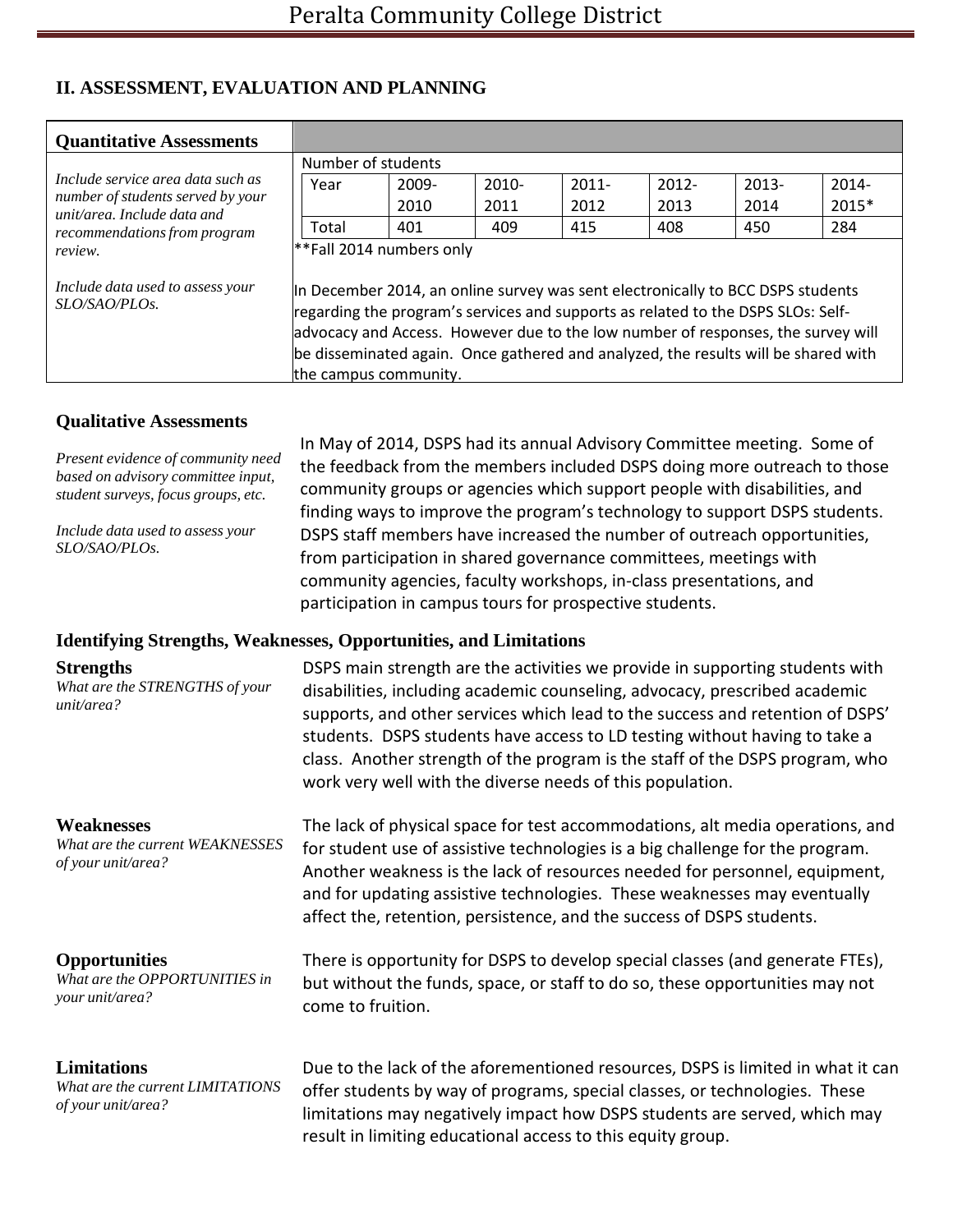## **II. ASSESSMENT, EVALUATION AND PLANNING**

| <b>Quantitative Assessments</b>                                                                                                                                                                                                                                |                                                                                                                                                                                                 |       |          |          |          |          |          |
|----------------------------------------------------------------------------------------------------------------------------------------------------------------------------------------------------------------------------------------------------------------|-------------------------------------------------------------------------------------------------------------------------------------------------------------------------------------------------|-------|----------|----------|----------|----------|----------|
| Include service area data such as                                                                                                                                                                                                                              | Number of students                                                                                                                                                                              |       |          |          |          |          |          |
|                                                                                                                                                                                                                                                                | Year                                                                                                                                                                                            | 2009- | $2010 -$ | $2011 -$ | $2012 -$ | $2013 -$ | $2014 -$ |
| number of students served by your<br>unit/area. Include data and                                                                                                                                                                                               |                                                                                                                                                                                                 | 2010  | 2011     | 2012     | 2013     | 2014     | 2015*    |
| recommendations from program                                                                                                                                                                                                                                   | Total                                                                                                                                                                                           | 401   | 409      | 415      | 408      | 450      | 284      |
| **Fall 2014 numbers only<br>review.<br>Include data used to assess your<br>In December 2014, an online survey was sent electronically to BCC DSPS students<br>SLO/SAO/PLOs<br>regarding the program's services and supports as related to the DSPS SLOs: Self- |                                                                                                                                                                                                 |       |          |          |          |          |          |
|                                                                                                                                                                                                                                                                | advocacy and Access. However due to the low number of responses, the survey will<br>be disseminated again. Once gathered and analyzed, the results will be shared with<br>the campus community. |       |          |          |          |          |          |

#### **Qualitative Assessments**

*Present evidence of community need based on advisory committee input, student surveys, focus groups, etc.*

*Include data used to assess your SLO/SAO/PLOs.*

In May of 2014, DSPS had its annual Advisory Committee meeting. Some of the feedback from the members included DSPS doing more outreach to those community groups or agencies which support people with disabilities, and finding ways to improve the program's technology to support DSPS students. DSPS staff members have increased the number of outreach opportunities, from participation in shared governance committees, meetings with community agencies, faculty workshops, in-class presentations, and participation in campus tours for prospective students.

#### **Identifying Strengths, Weaknesses, Opportunities, and Limitations**

#### **Strengths**

*What are the STRENGTHS of your unit/area?*

#### **Weaknesses**

*What are the current WEAKNESSES of your unit/area?*

#### **Opportunities**

*What are the OPPORTUNITIES in your unit/area?*

#### **Limitations**

*What are the current LIMITATIONS of your unit/area?*

DSPS main strength are the activities we provide in supporting students with disabilities, including academic counseling, advocacy, prescribed academic supports, and other services which lead to the success and retention of DSPS' students. DSPS students have access to LD testing without having to take a class. Another strength of the program is the staff of the DSPS program, who work very well with the diverse needs of this population.

The lack of physical space for test accommodations, alt media operations, and for student use of assistive technologies is a big challenge for the program. Another weakness is the lack of resources needed for personnel, equipment, and for updating assistive technologies. These weaknesses may eventually affect the, retention, persistence, and the success of DSPS students.

There is opportunity for DSPS to develop special classes (and generate FTEs), but without the funds, space, or staff to do so, these opportunities may not come to fruition.

Due to the lack of the aforementioned resources, DSPS is limited in what it can offer students by way of programs, special classes, or technologies. These limitations may negatively impact how DSPS students are served, which may result in limiting educational access to this equity group.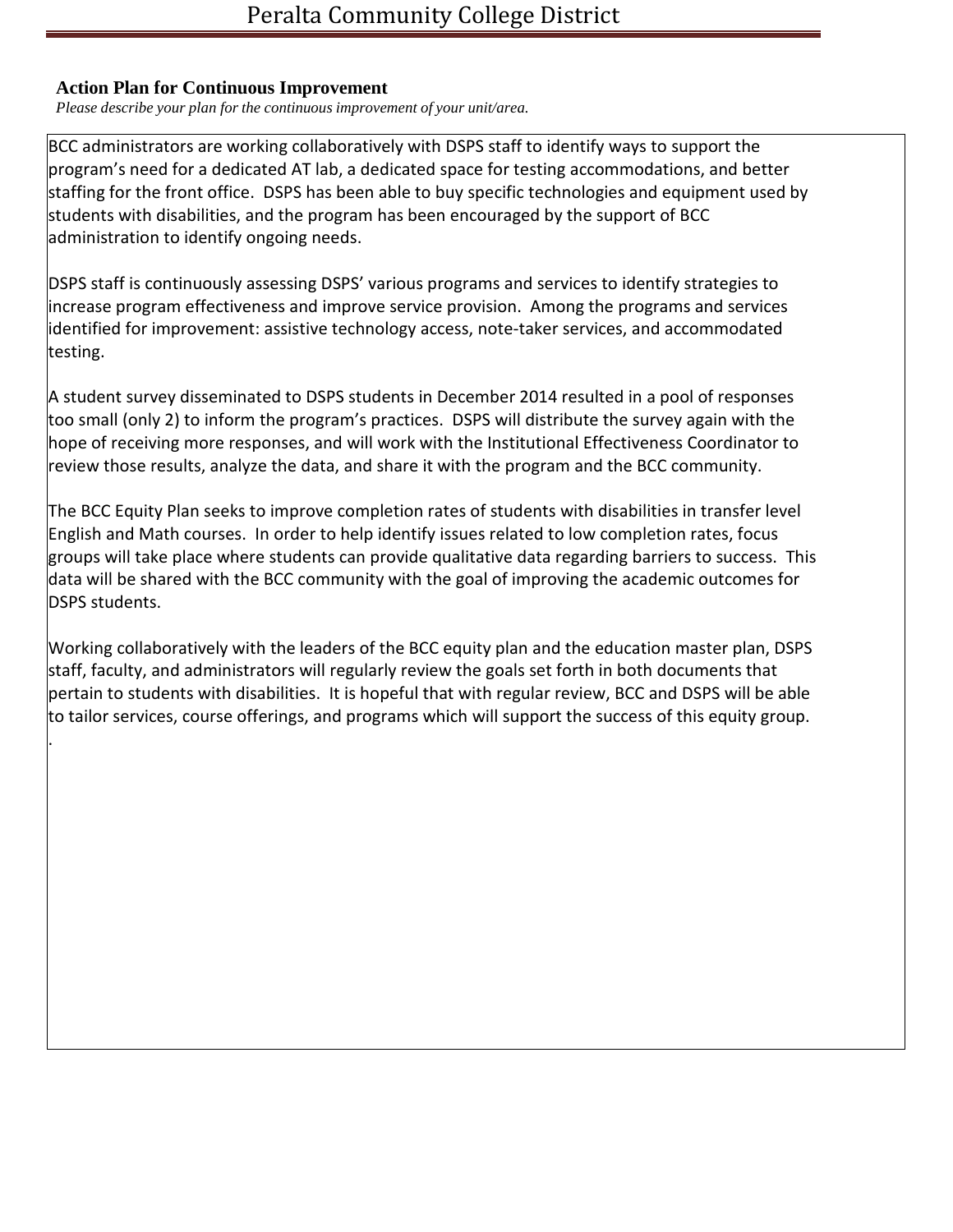## **Action Plan for Continuous Improvement**

.

*Please describe your plan for the continuous improvement of your unit/area.*

BCC administrators are working collaboratively with DSPS staff to identify ways to support the program's need for a dedicated AT lab, a dedicated space for testing accommodations, and better staffing for the front office. DSPS has been able to buy specific technologies and equipment used by students with disabilities, and the program has been encouraged by the support of BCC administration to identify ongoing needs.

DSPS staff is continuously assessing DSPS' various programs and services to identify strategies to increase program effectiveness and improve service provision. Among the programs and services identified for improvement: assistive technology access, note-taker services, and accommodated testing.

A student survey disseminated to DSPS students in December 2014 resulted in a pool of responses too small (only 2) to inform the program's practices. DSPS will distribute the survey again with the hope of receiving more responses, and will work with the Institutional Effectiveness Coordinator to review those results, analyze the data, and share it with the program and the BCC community.

The BCC Equity Plan seeks to improve completion rates of students with disabilities in transfer level English and Math courses. In order to help identify issues related to low completion rates, focus groups will take place where students can provide qualitative data regarding barriers to success. This data will be shared with the BCC community with the goal of improving the academic outcomes for DSPS students.

Working collaboratively with the leaders of the BCC equity plan and the education master plan, DSPS staff, faculty, and administrators will regularly review the goals set forth in both documents that pertain to students with disabilities. It is hopeful that with regular review, BCC and DSPS will be able to tailor services, course offerings, and programs which will support the success of this equity group.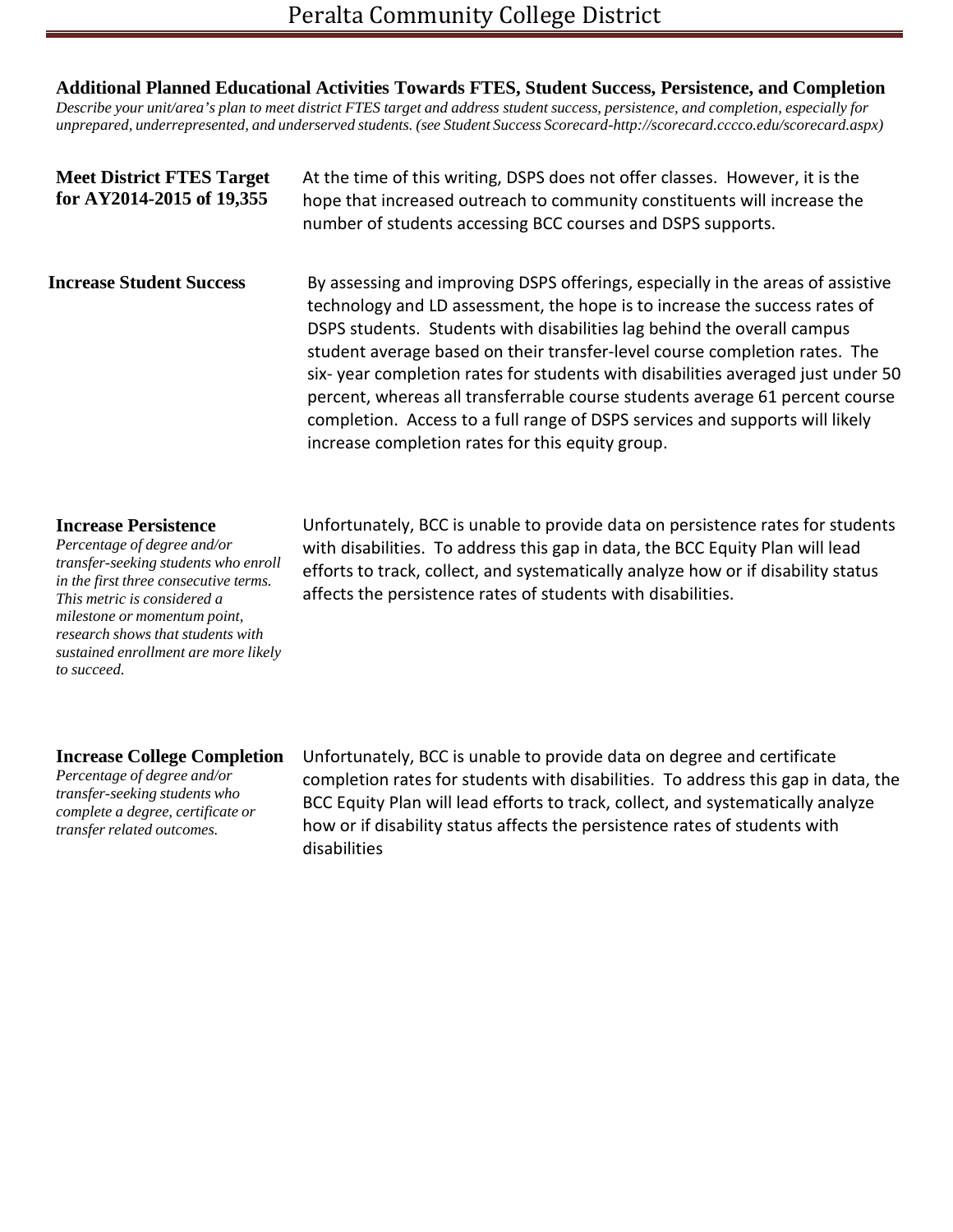**Additional Planned Educational Activities Towards FTES, Student Success, Persistence, and Completion** Describe your unit/area's plan to meet district FTES target and address student success, persistence, and completion, especially for *unprepared, underrepresented, and underserved students. (see Student Success Scorecard[-http://scorecard.cccco.edu/scorecard.aspx\)](http://scorecard.cccco.edu/scorecard.aspx))*

| <b>Meet District FTES Target</b><br>for AY2014-2015 of 19,355 | At the time of this writing, DSPS does not offer classes. However, it is the<br>hope that increased outreach to community constituents will increase the<br>number of students accessing BCC courses and DSPS supports.                                                                                                                                                                                                                                                                                                                                                                                                       |
|---------------------------------------------------------------|-------------------------------------------------------------------------------------------------------------------------------------------------------------------------------------------------------------------------------------------------------------------------------------------------------------------------------------------------------------------------------------------------------------------------------------------------------------------------------------------------------------------------------------------------------------------------------------------------------------------------------|
| <b>Increase Student Success</b>                               | By assessing and improving DSPS offerings, especially in the areas of assistive<br>technology and LD assessment, the hope is to increase the success rates of<br>DSPS students. Students with disabilities lag behind the overall campus<br>student average based on their transfer-level course completion rates. The<br>six-year completion rates for students with disabilities averaged just under 50<br>percent, whereas all transferrable course students average 61 percent course<br>completion. Access to a full range of DSPS services and supports will likely<br>increase completion rates for this equity group. |

#### **Increase Persistence**

*Percentage of degree and/or transfer-seeking students who enroll in the first three consecutive terms. This metric is considered a milestone or momentum point, research shows that students with sustained enrollment are more likely to succeed.*

Unfortunately, BCC is unable to provide data on persistence rates for students with disabilities. To address this gap in data, the BCC Equity Plan will lead efforts to track, collect, and systematically analyze how or if disability status affects the persistence rates of students with disabilities.

#### **Increase College Completion**

*Percentage of degree and/or transfer-seeking students who complete a degree, certificate or transfer related outcomes.*

Unfortunately, BCC is unable to provide data on degree and certificate completion rates for students with disabilities. To address this gap in data, the BCC Equity Plan will lead efforts to track, collect, and systematically analyze how or if disability status affects the persistence rates of students with disabilities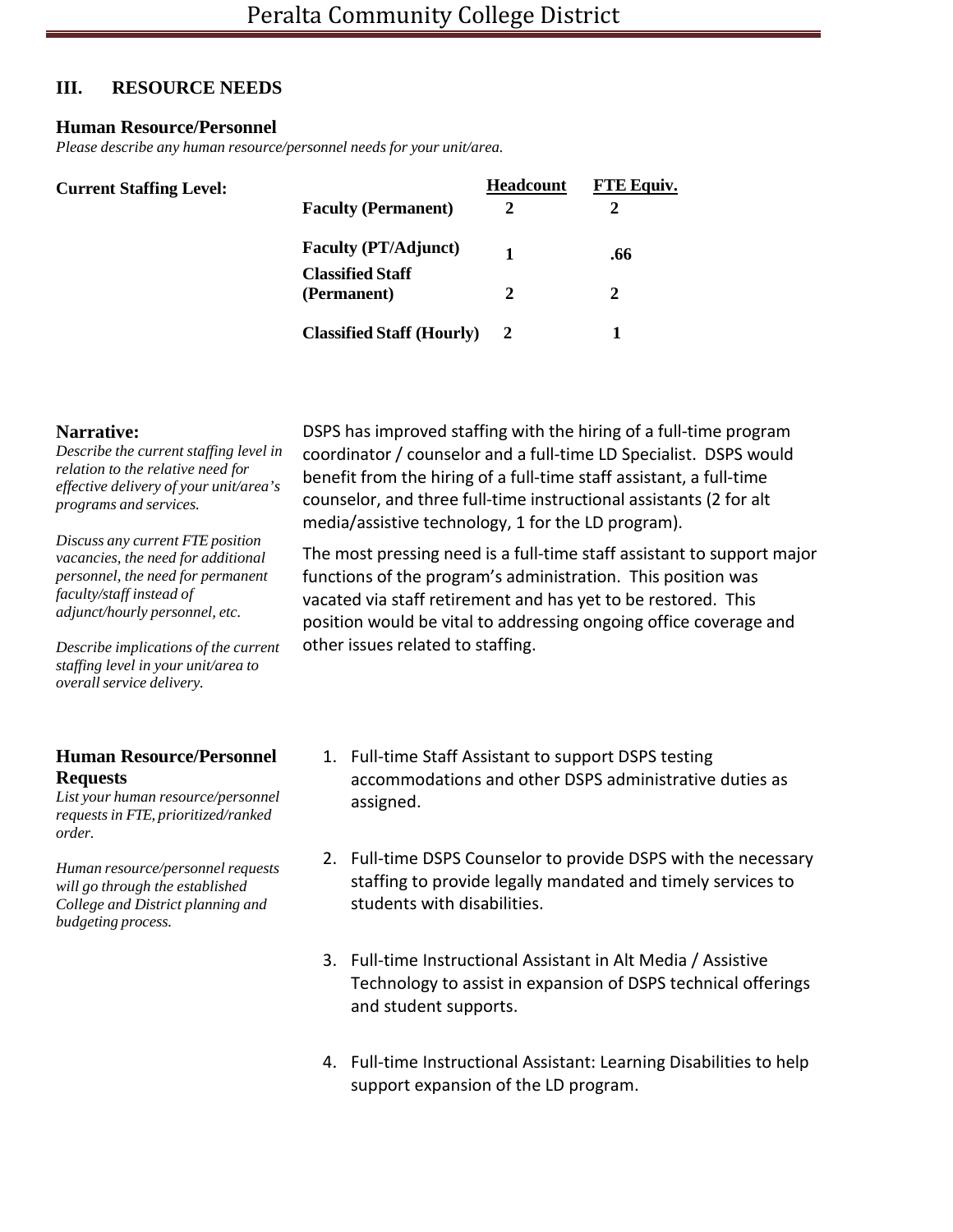## **III. RESOURCE NEEDS**

#### **Human Resource/Personnel**

*Please describe any human resource/personnel needs for your unit/area.*

| <b>Current Staffing Level:</b> |                                  | <b>Headcount</b> | <b>FTE Equiv.</b> |
|--------------------------------|----------------------------------|------------------|-------------------|
|                                | <b>Faculty (Permanent)</b>       | 2                | 2                 |
|                                | <b>Faculty (PT/Adjunct)</b>      |                  | .66               |
|                                | <b>Classified Staff</b>          |                  |                   |
|                                | (Permanent)                      | $\boldsymbol{2}$ | 2                 |
|                                | <b>Classified Staff (Hourly)</b> |                  |                   |

#### **Narrative:**

*Describe the current staffing level in relation to the relative need for effective delivery of your unit/area's programs and services.*

*Discuss any current FTE position vacancies, the need for additional personnel, the need for permanent faculty/staff instead of adjunct/hourly personnel, etc.*

*Describe implications of the current staffing level in your unit/area to overallservice delivery.*

## **Human Resource/Personnel Requests**

*List your human resource/personnel requests in FTE, prioritized/ranked order.*

*Human resource/personnel requests will go through the established College and District planning and budgeting process.*

DSPS has improved staffing with the hiring of a full-time program coordinator / counselor and a full-time LD Specialist. DSPS would benefit from the hiring of a full-time staff assistant, a full-time counselor, and three full-time instructional assistants (2 for alt media/assistive technology, 1 for the LD program).

The most pressing need is a full-time staff assistant to support major functions of the program's administration. This position was vacated via staff retirement and has yet to be restored. This position would be vital to addressing ongoing office coverage and other issues related to staffing.

- 1. Full-time Staff Assistant to support DSPS testing accommodations and other DSPS administrative duties as assigned.
- 2. Full-time DSPS Counselor to provide DSPS with the necessary staffing to provide legally mandated and timely services to students with disabilities.
- 3. Full-time Instructional Assistant in Alt Media / Assistive Technology to assist in expansion of DSPS technical offerings and student supports.
- 4. Full-time Instructional Assistant: Learning Disabilities to help support expansion of the LD program.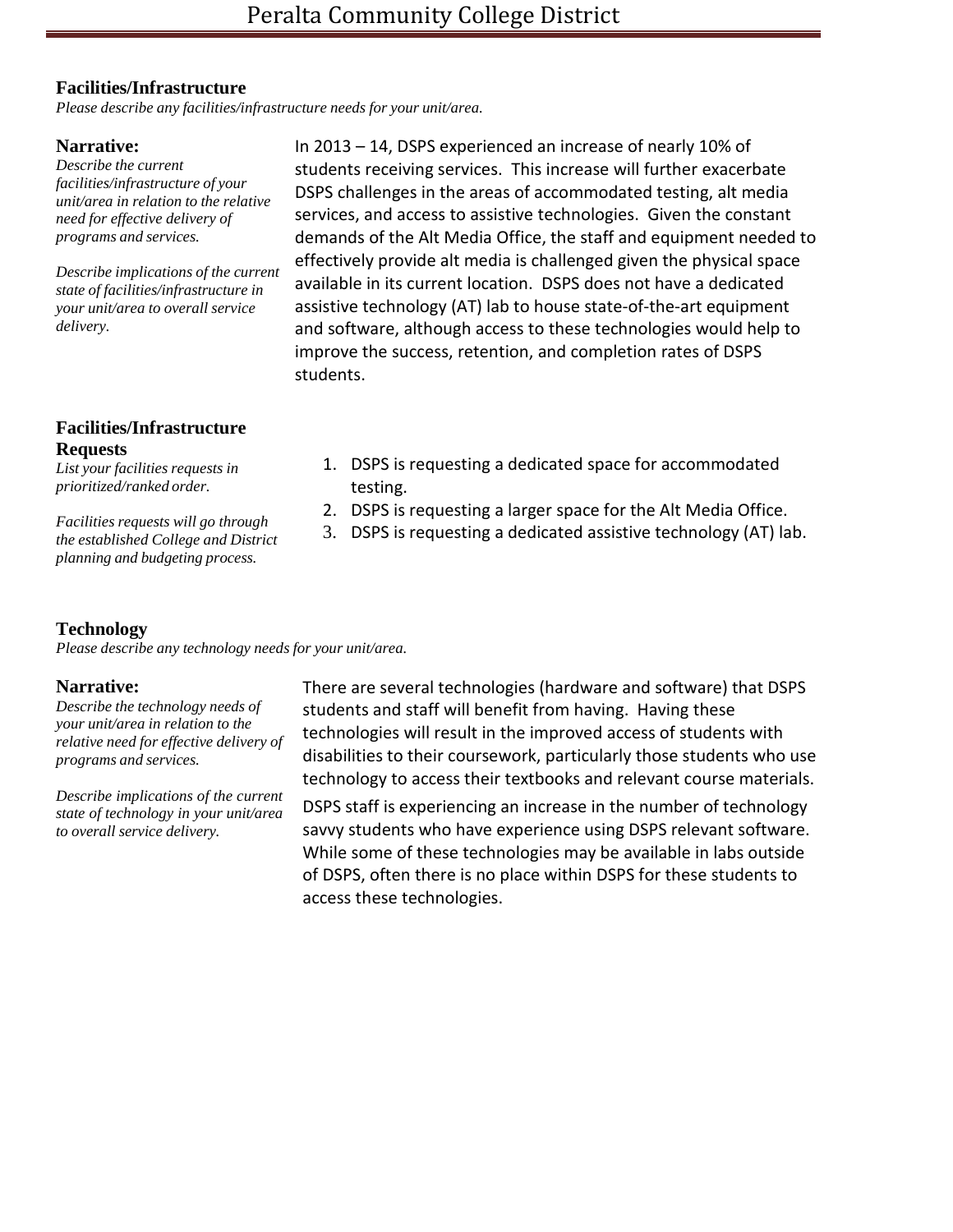## **Facilities/Infrastructure**

*Please describe any facilities/infrastructure needs for your unit/area.*

#### **Narrative:**

*Describe the current facilities/infrastructure of your unit/area in relation to the relative need for effective delivery of programs and services.*

*Describe implications of the current state of facilities/infrastructure in your unit/area to overall service delivery.*

## **Facilities/Infrastructure Requests**

*List your facilities requests in prioritized/ranked order.*

*Facilities requests will go through the established College and District planning and budgeting process.*

In 2013 – 14, DSPS experienced an increase of nearly 10% of students receiving services. This increase will further exacerbate DSPS challenges in the areas of accommodated testing, alt media services, and access to assistive technologies. Given the constant demands of the Alt Media Office, the staff and equipment needed to effectively provide alt media is challenged given the physical space available in its current location. DSPS does not have a dedicated assistive technology (AT) lab to house state-of-the-art equipment and software, although access to these technologies would help to improve the success, retention, and completion rates of DSPS students.

- 1. DSPS is requesting a dedicated space for accommodated testing.
- 2. DSPS is requesting a larger space for the Alt Media Office.
- 3. DSPS is requesting a dedicated assistive technology (AT) lab.

## **Technology**

*Please describe any technology needs for your unit/area.*

#### **Narrative:**

*Describe the technology needs of your unit/area in relation to the relative need for effective delivery of programs and services.*

*Describe implications of the current state of technology in your unit/area to overall service delivery.*

There are several technologies (hardware and software) that DSPS students and staff will benefit from having. Having these technologies will result in the improved access of students with disabilities to their coursework, particularly those students who use technology to access their textbooks and relevant course materials.

DSPS staff is experiencing an increase in the number of technology savvy students who have experience using DSPS relevant software. While some of these technologies may be available in labs outside of DSPS, often there is no place within DSPS for these students to access these technologies.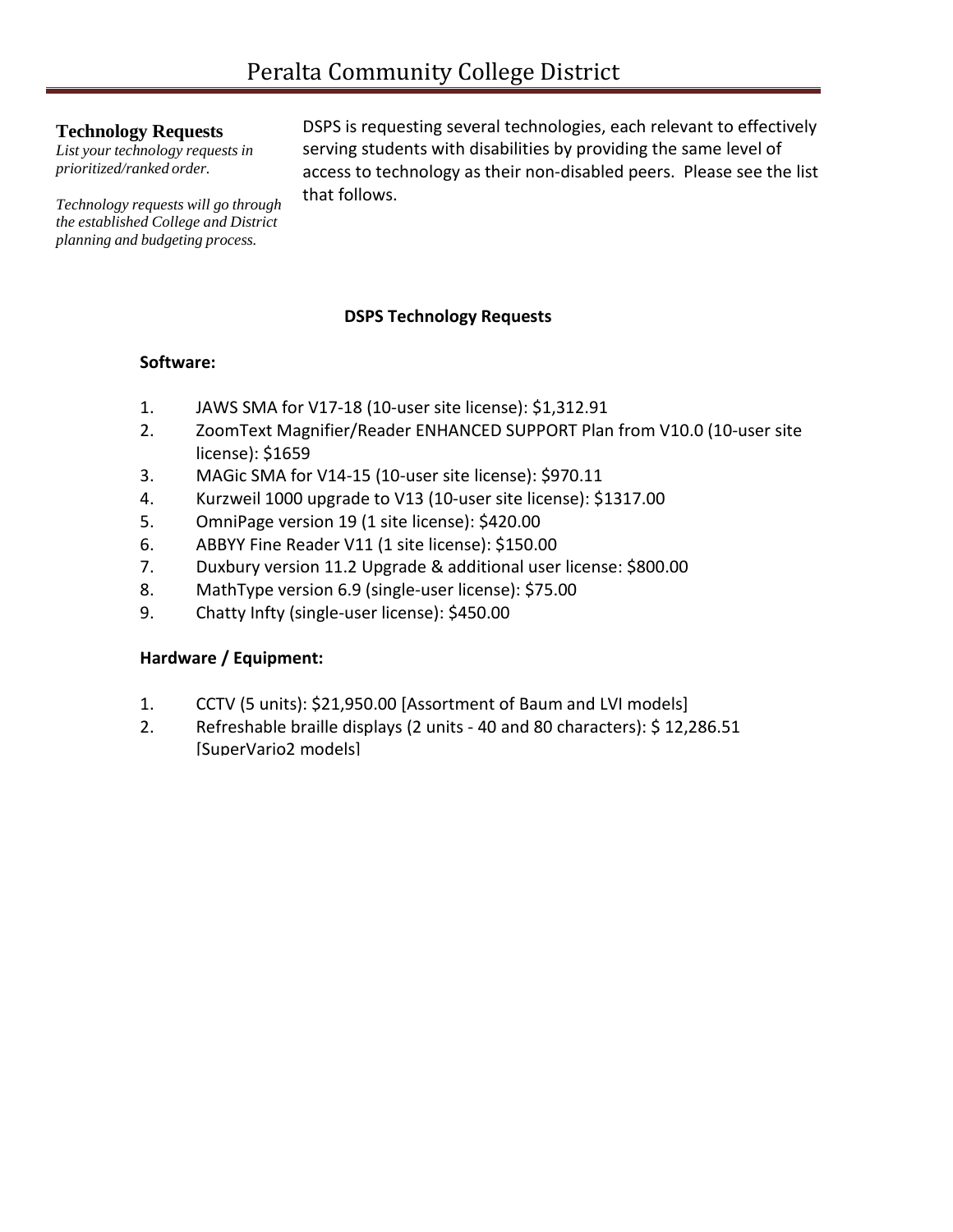## **Technology Requests**

*List your technology requests in prioritized/ranked order.*

*Technology requests will go through the established College and District planning and budgeting process.*

DSPS is requesting several technologies, each relevant to effectively serving students with disabilities by providing the same level of access to technology as their non-disabled peers. Please see the list that follows.

## **DSPS Technology Requests**

## **Software:**

- 1. JAWS SMA for V17-18 (10-user site license): \$1,312.91
- 2. ZoomText Magnifier/Reader ENHANCED SUPPORT Plan from V10.0 (10-user site license): \$1659
- 3. MAGic SMA for V14-15 (10-user site license): \$970.11
- 4. Kurzweil 1000 upgrade to V13 (10-user site license): \$1317.00
- 5. OmniPage version 19 (1 site license): \$420.00
- 6. ABBYY Fine Reader V11 (1 site license): \$150.00
- 7. Duxbury version 11.2 Upgrade & additional user license: \$800.00
- 8. MathType version 6.9 (single-user license): \$75.00
- 9. Chatty Infty (single-user license): \$450.00

## **Hardware / Equipment:**

- 1. CCTV (5 units): \$21,950.00 [Assortment of Baum and LVI models]
- 2. Refreshable braille displays (2 units 40 and 80 characters): \$ 12,286.51 [SuperVario2 models]